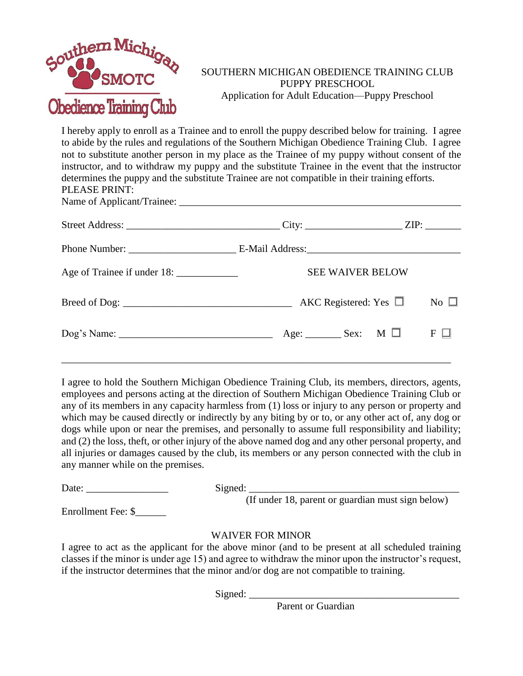

## SOUTHERN MICHIGAN OBEDIENCE TRAINING CLUB PUPPY PRESCHOOL Application for Adult Education—Puppy Preschool

I hereby apply to enroll as a Trainee and to enroll the puppy described below for training. I agree to abide by the rules and regulations of the Southern Michigan Obedience Training Club. I agree not to substitute another person in my place as the Trainee of my puppy without consent of the instructor, and to withdraw my puppy and the substitute Trainee in the event that the instructor determines the puppy and the substitute Trainee are not compatible in their training efforts. PLEASE PRINT: Name of Applicant/Trainee: \_\_\_\_\_\_\_\_\_\_\_\_\_\_\_\_\_\_\_\_\_\_\_\_\_\_\_\_\_\_\_\_\_\_\_\_\_\_\_\_\_\_\_\_\_\_\_\_\_\_\_\_\_\_\_

| <b>SEE WAIVER BELOW</b>                     |           |
|---------------------------------------------|-----------|
| AKC Registered: Yes $\Box$                  | No $\Box$ |
| Age: _________ Sex: $\blacksquare$ M $\Box$ | $F \Box$  |

I agree to hold the Southern Michigan Obedience Training Club, its members, directors, agents, employees and persons acting at the direction of Southern Michigan Obedience Training Club or any of its members in any capacity harmless from (1) loss or injury to any person or property and which may be caused directly or indirectly by any biting by or to, or any other act of, any dog or dogs while upon or near the premises, and personally to assume full responsibility and liability; and (2) the loss, theft, or other injury of the above named dog and any other personal property, and all injuries or damages caused by the club, its members or any person connected with the club in any manner while on the premises.

Date: \_\_\_\_\_\_\_\_\_\_\_\_\_\_\_\_ Signed: \_\_\_\_\_\_\_\_\_\_\_\_\_\_\_\_\_\_\_\_\_\_\_\_\_\_\_\_\_\_\_\_\_\_\_\_\_\_\_\_\_

(If under 18, parent or guardian must sign below)

Enrollment Fee: \$

## WAIVER FOR MINOR

I agree to act as the applicant for the above minor (and to be present at all scheduled training classes if the minor is under age 15) and agree to withdraw the minor upon the instructor's request, if the instructor determines that the minor and/or dog are not compatible to training.

Signed: \_\_\_\_\_\_\_\_\_\_\_\_\_\_\_\_\_\_\_\_\_\_\_\_\_\_\_\_\_\_\_\_\_\_\_\_\_\_\_\_\_

**Parent or Guardian**